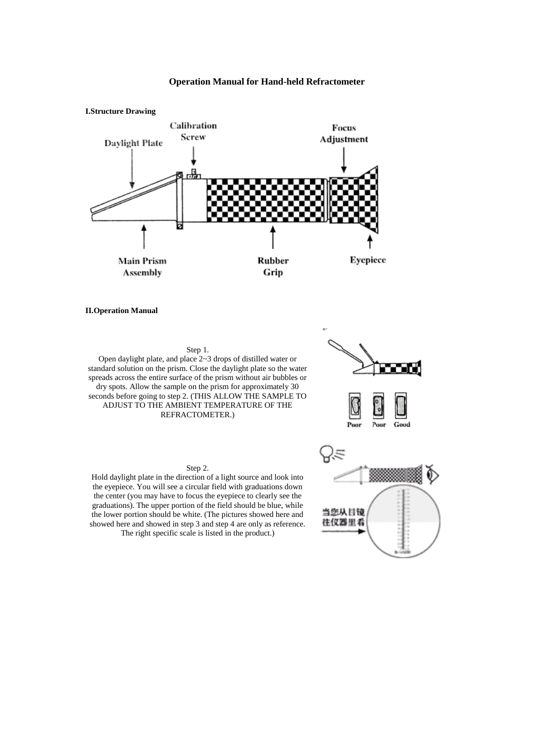

## **Operation Manual for Hand-held Refractometer**

**II.Operation Manual**

## Step 1.

Open daylight plate, and place 2~3 drops of distilled water or standard solution on the prism. Close the daylight plate so the water spreads across the entire surface of the prism without air bubbles or dry spots. Allow the sample on the prism for approximately 30 seconds before going to step 2. (THIS ALLOW THE SAMPLE TO ADJUST TO THE AMBIENT TEMPERATURE OF THE REFRACTOMETER.)

## Poor Good



Hold daylight plate in the direction of a light source and look into the eyepiece. You will see a circular field with graduations down the center (you may have to focus the eyepiece to clearly see the graduations). The upper portion of the field should be blue, while the lower portion should be white. (The pictures showed here and showed here and showed in step 3 and step 4 are only as reference. The right specific scale is listed in the product.)